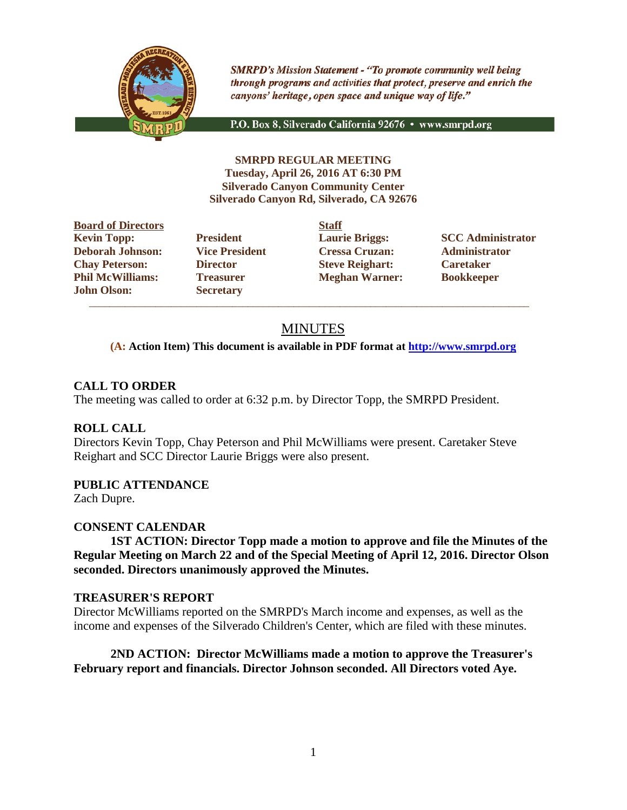

**SMRPD's Mission Statement - "To promote community well being** through programs and activities that protect, preserve and enrich the canyons' heritage, open space and unique way of life."

P.O. Box 8, Silverado California 92676 · www.smrpd.org

**SMRPD REGULAR MEETING Tuesday, April 26, 2016 AT 6:30 PM Silverado Canyon Community Center Silverado Canyon Rd, Silverado, CA 92676**

**Board of Directors Staff Kevin Topp: President Laurie Briggs: SCC Administrator Deborah Johnson: Vice President Cressa Cruzan: Administrator Chay Peterson: Director Steve Reighart: Caretaker Phil McWilliams: Treasurer Meghan Warner: Bookkeeper John Olson: Secretary**

 $\overline{\phantom{a}}$  ,  $\overline{\phantom{a}}$  ,  $\overline{\phantom{a}}$  ,  $\overline{\phantom{a}}$  ,  $\overline{\phantom{a}}$  ,  $\overline{\phantom{a}}$  ,  $\overline{\phantom{a}}$  ,  $\overline{\phantom{a}}$  ,  $\overline{\phantom{a}}$  ,  $\overline{\phantom{a}}$  ,  $\overline{\phantom{a}}$  ,  $\overline{\phantom{a}}$  ,  $\overline{\phantom{a}}$  ,  $\overline{\phantom{a}}$  ,  $\overline{\phantom{a}}$  ,  $\overline{\phantom{a}}$ 

# MINUTES

## **(A: Action Item) This document is available in PDF format at [http://www.smrpd.org](http://www.smrpd.org/)**

# **CALL TO ORDER**

The meeting was called to order at 6:32 p.m. by Director Topp, the SMRPD President.

# **ROLL CALL**

Directors Kevin Topp, Chay Peterson and Phil McWilliams were present. Caretaker Steve Reighart and SCC Director Laurie Briggs were also present.

# **PUBLIC ATTENDANCE**

Zach Dupre.

# **CONSENT CALENDAR**

**1ST ACTION: Director Topp made a motion to approve and file the Minutes of the Regular Meeting on March 22 and of the Special Meeting of April 12, 2016. Director Olson seconded. Directors unanimously approved the Minutes.** 

## **TREASURER'S REPORT**

Director McWilliams reported on the SMRPD's March income and expenses, as well as the income and expenses of the Silverado Children's Center, which are filed with these minutes.

## **2ND ACTION: Director McWilliams made a motion to approve the Treasurer's February report and financials. Director Johnson seconded. All Directors voted Aye.**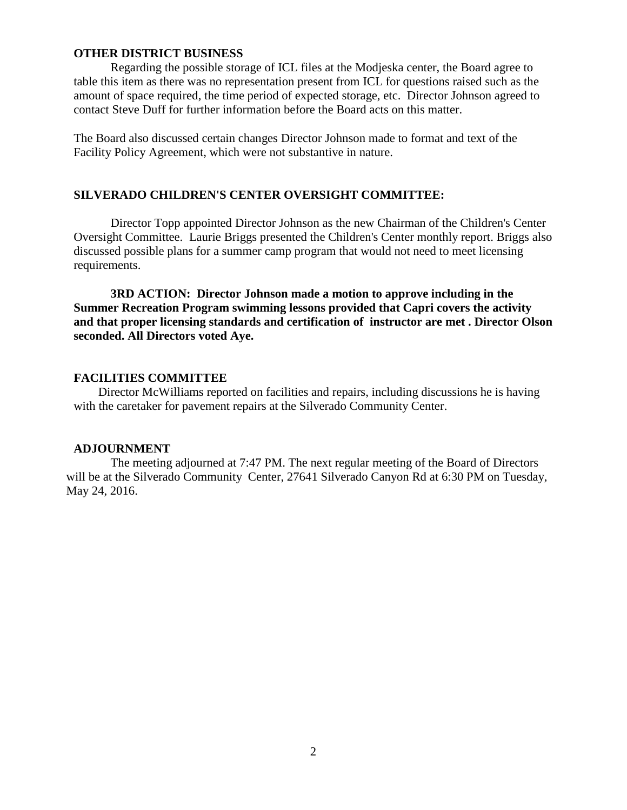## **OTHER DISTRICT BUSINESS**

Regarding the possible storage of ICL files at the Modjeska center, the Board agree to table this item as there was no representation present from ICL for questions raised such as the amount of space required, the time period of expected storage, etc. Director Johnson agreed to contact Steve Duff for further information before the Board acts on this matter.

The Board also discussed certain changes Director Johnson made to format and text of the Facility Policy Agreement, which were not substantive in nature.

## **SILVERADO CHILDREN'S CENTER OVERSIGHT COMMITTEE:**

Director Topp appointed Director Johnson as the new Chairman of the Children's Center Oversight Committee. Laurie Briggs presented the Children's Center monthly report. Briggs also discussed possible plans for a summer camp program that would not need to meet licensing requirements.

**3RD ACTION: Director Johnson made a motion to approve including in the Summer Recreation Program swimming lessons provided that Capri covers the activity and that proper licensing standards and certification of instructor are met . Director Olson seconded. All Directors voted Aye.**

### **FACILITIES COMMITTEE**

Director McWilliams reported on facilities and repairs, including discussions he is having with the caretaker for pavement repairs at the Silverado Community Center.

#### **ADJOURNMENT**

The meeting adjourned at 7:47 PM. The next regular meeting of the Board of Directors will be at the Silverado Community Center, 27641 Silverado Canyon Rd at 6:30 PM on Tuesday, May 24, 2016.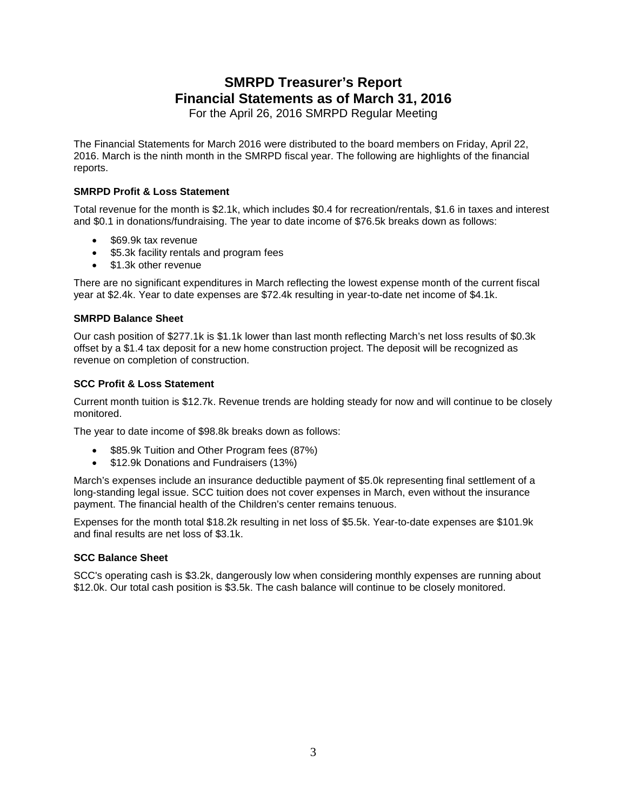# **SMRPD Treasurer's Report Financial Statements as of March 31, 2016**

For the April 26, 2016 SMRPD Regular Meeting

The Financial Statements for March 2016 were distributed to the board members on Friday, April 22, 2016. March is the ninth month in the SMRPD fiscal year. The following are highlights of the financial reports.

### **SMRPD Profit & Loss Statement**

Total revenue for the month is \$2.1k, which includes \$0.4 for recreation/rentals, \$1.6 in taxes and interest and \$0.1 in donations/fundraising. The year to date income of \$76.5k breaks down as follows:

- \$69.9k tax revenue
- \$5.3k facility rentals and program fees
- \$1.3k other revenue

There are no significant expenditures in March reflecting the lowest expense month of the current fiscal year at \$2.4k. Year to date expenses are \$72.4k resulting in year-to-date net income of \$4.1k.

#### **SMRPD Balance Sheet**

Our cash position of \$277.1k is \$1.1k lower than last month reflecting March's net loss results of \$0.3k offset by a \$1.4 tax deposit for a new home construction project. The deposit will be recognized as revenue on completion of construction.

#### **SCC Profit & Loss Statement**

Current month tuition is \$12.7k. Revenue trends are holding steady for now and will continue to be closely monitored.

The year to date income of \$98.8k breaks down as follows:

- \$85.9k Tuition and Other Program fees (87%)
- \$12.9k Donations and Fundraisers (13%)

March's expenses include an insurance deductible payment of \$5.0k representing final settlement of a long-standing legal issue. SCC tuition does not cover expenses in March, even without the insurance payment. The financial health of the Children's center remains tenuous.

Expenses for the month total \$18.2k resulting in net loss of \$5.5k. Year-to-date expenses are \$101.9k and final results are net loss of \$3.1k.

#### **SCC Balance Sheet**

SCC's operating cash is \$3.2k, dangerously low when considering monthly expenses are running about \$12.0k. Our total cash position is \$3.5k. The cash balance will continue to be closely monitored.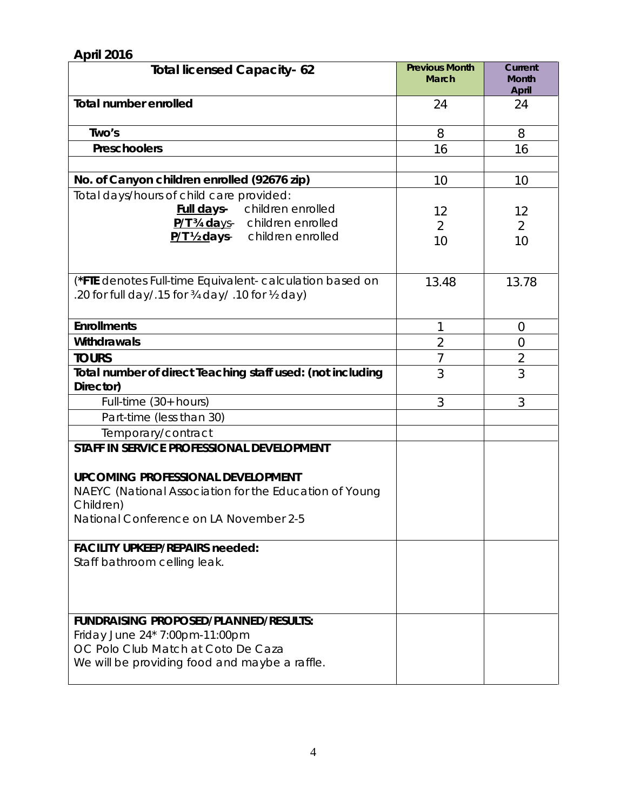| <b>April 2016</b>                                                                                                                                                                                      |                                       |                                         |
|--------------------------------------------------------------------------------------------------------------------------------------------------------------------------------------------------------|---------------------------------------|-----------------------------------------|
| <b>Total licensed Capacity-62</b>                                                                                                                                                                      | <b>Previous Month</b><br><b>March</b> | Current<br><b>Month</b><br><b>April</b> |
| <b>Total number enrolled</b>                                                                                                                                                                           | 24                                    | 24                                      |
| Two's                                                                                                                                                                                                  | 8                                     | 8                                       |
| Preschoolers                                                                                                                                                                                           | 16                                    | 16                                      |
|                                                                                                                                                                                                        |                                       |                                         |
| No. of Canyon children enrolled (92676 zip)                                                                                                                                                            | 10                                    | 10                                      |
| Total days/hours of child care provided:<br>children enrolled<br><u>Full da</u> ys-<br>P/T 34 days- children enrolled<br>P/T 1/2 days- children enrolled                                               | 12<br>2<br>10                         | 12<br>$\overline{2}$<br>10              |
| (*FTE denotes Full-time Equivalent- calculation based on<br>.20 for full day/.15 for 3/4 day/.10 for 1/2 day)                                                                                          | 13.48                                 | 13.78                                   |
| <b>Enrollments</b>                                                                                                                                                                                     | 1                                     | $\overline{0}$                          |
| Withdrawals                                                                                                                                                                                            | $\overline{2}$                        | $\overline{0}$                          |
| <b>TOURS</b>                                                                                                                                                                                           | $\overline{7}$                        | $\overline{2}$                          |
| Total number of direct Teaching staff used: (not including<br>Director)                                                                                                                                | 3                                     | 3                                       |
| Full-time $(30+$ hours)                                                                                                                                                                                | 3                                     | 3                                       |
| Part-time (less than 30)                                                                                                                                                                               |                                       |                                         |
| Temporary/contract                                                                                                                                                                                     |                                       |                                         |
| STAFF IN SERVICE PROFESSIONAL DEVELOPMENT<br><b>UPCOMING PROFESSIONAL DEVELOPMENT</b><br>NAEYC (National Association for the Education of Young<br>Children)<br>National Conference on LA November 2-5 |                                       |                                         |
| <b>FACILITY UPKEEP/REPAIRS needed:</b>                                                                                                                                                                 |                                       |                                         |
| Staff bathroom celling leak.                                                                                                                                                                           |                                       |                                         |
| <b>FUNDRAISING PROPOSED/PLANNED/RESULTS:</b><br>Friday June 24* 7:00pm-11:00pm<br>OC Polo Club Match at Coto De Caza<br>We will be providing food and maybe a raffle.                                  |                                       |                                         |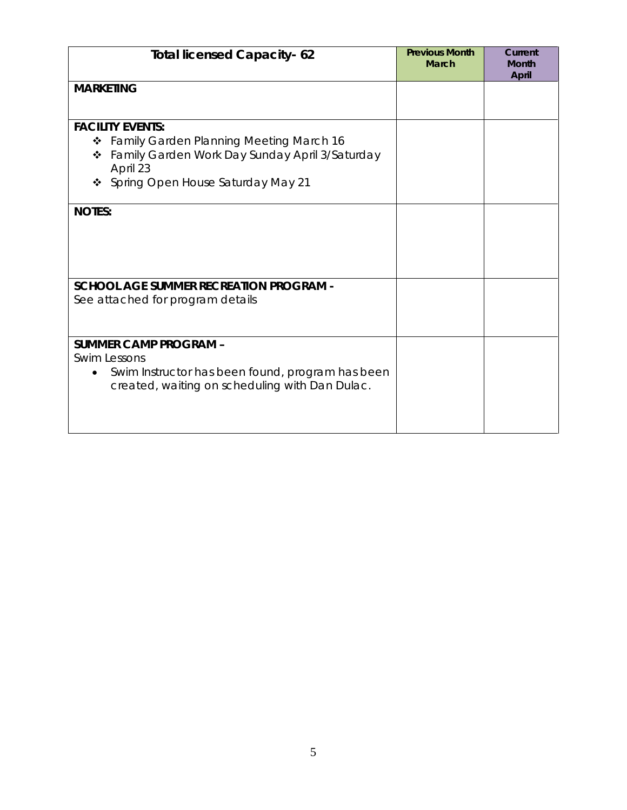| <b>Total licensed Capacity-62</b>                                                                                                                                                    | <b>Previous Month</b><br><b>March</b> | Current<br><b>Month</b><br>April |
|--------------------------------------------------------------------------------------------------------------------------------------------------------------------------------------|---------------------------------------|----------------------------------|
| <b>MARKETING</b>                                                                                                                                                                     |                                       |                                  |
| <b>FACILITY EVENTS:</b><br>Family Garden Planning Meeting March 16<br>❖<br>Family Garden Work Day Sunday April 3/Saturday<br>❖<br>April 23<br>Spring Open House Saturday May 21<br>❖ |                                       |                                  |
| <b>NOTES:</b>                                                                                                                                                                        |                                       |                                  |
| <b>SCHOOL AGE SUMMER RECREATION PROGRAM -</b><br>See attached for program details                                                                                                    |                                       |                                  |
| <b>SUMMER CAMP PROGRAM -</b><br><b>Swim Lessons</b><br>Swim Instructor has been found, program has been<br>created, waiting on scheduling with Dan Dulac.                            |                                       |                                  |